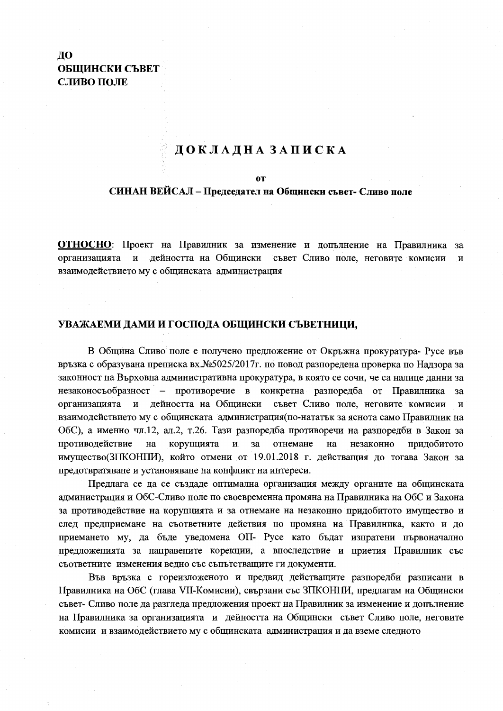# ДО ОБЩИНСКИ СЪВЕТ СЛИВО ПОЛЕ

# ДОКЛАДНА ЗАПИСКА

### **OT**

## СИНАН ВЕЙСАЛ – Председател на Общински съвет- Сливо поле

ОТНОСНО: Проект на Правилник за изменение и допълнение на Правилника за организацията и дейността на Общински съвет Сливо поле, неговите комисии  $\overline{\mathbf{M}}$ взаимодействието му с общинската администрация

## УВАЖАЕМИ ДАМИ И ГОСПОДА ОБЩИНСКИ СЪВЕТНИЦИ,

В Община Сливо поле е получено предложение от Окръжна прокуратура- Русе във връзка с образувана преписка вх. №5025/2017г. по повод разпоредена проверка по Надзора за законност на Върховна административна прокуратура, в която се сочи, че са налице данни за незаконосъобразност – противоречие в конкретна разпоредба от Правилника  $3a$ дейността на Общински съвет Сливо поле, неговите комисии организацията и  $\overline{M}$ взаимодействието му с общинската администрация(по-нататък за яснота само Правилник на ОбС), а именно чл.12, ал.2, т.26. Тази разпоредба противоречи на разпоредби в Закон за отнемане противодействие на корупцията  $\mathbf{M}$  $3a$ на незаконно придобитото имущество(ЗПКОНПИ), който отмени от 19.01.2018 г. действащия до тогава Закон за предотвратяване и установяване на конфликт на интереси.

Предлага се да се създаде оптимална организация между органите на общинската администрация и ОбС-Сливо поле по своевременна промяна на Правилника на ОбС и Закона за противодействие на корупцията и за отнемане на незаконно придобитото имущество и след предприемане на съответните действия по промяна на Правилника, както и до приемането му, да бъде уведомена ОП- Русе като бъдат изпратени първоначално предложенията за направените корекции, а впоследствие и приетия Правилник със съответните изменения ведно със съпътстващите ги документи.

Във връзка с гореизложеното и предвид действащите разпоредби разписани в Правилника на ОбС (глава VII-Комисии), свързани със ЗПКОНПИ, предлагам на Общински съвет- Сливо поле да разгледа предложения проект на Правилник за изменение и допълнение на Правилника за организацията и дейността на Общински съвет Сливо поле, неговите комисии и взаимодействието му с общинската администрация и да вземе следното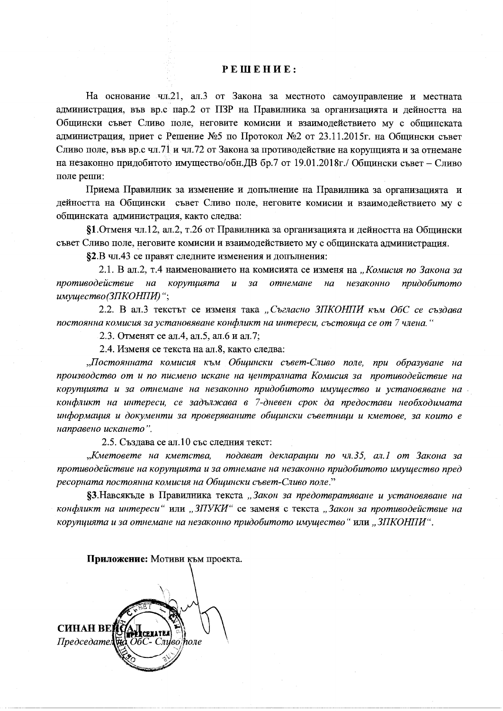## РЕШЕНИЕ:

На основание чл.21, ал.3 от Закона за местното самоуправление и местната администрация, във вр.с пар.2 от ПЗР на Правилника за организацията и дейността на Общински съвет Сливо поле, неговите комисии и взаимодействието му с общинската администрация, приет с Решение №5 по Протокол №2 от 23.11.2015г. на Общински съвет Сливо поле, във вр.с чл. 71 и чл. 72 от Закона за противодействие на корупцията и за отнемане на незаконно придобитото имущество/обн. ДВ бр.7 от 19.01.2018г./ Общински съвет – Сливо поле реши:

Приема Правилник за изменение и допълнение на Правилника за организацията и дейността на Общински съвет Сливо поле, неговите комисии и взаимодействието му с общинската администрация, както следва:

§1. Отменя чл.12, ал.2, т.26 от Правилника за организацията и дейността на Общински съвет Сливо поле, неговите комисии и взаимодействието му с общинската администрация.

§2.В чл.43 се правят следните изменения и допълнения:

2.1. В ал.2, т.4 наименованието на комисията се изменя на "Комисия по Закона за противодействие  $ha$ корупцията  $\boldsymbol{u}$  $3a$ отнемане  $Ha$ незаконно придобитото имущество(ЗПКОНПИ)";

2.2. В ал.3 текстът се изменя така "Съгласно ЗПКОНПИ към ОбС се създава постоянна комисия за установяване конфликт на интереси, състояща се от 7 члена. "

2.3. Отменят се ал.4, ал.5, ал.6 и ал.7;

2.4. Изменя се текста на ал.8, както следва:

"Постоянната комисия към Общински съвет-Сливо поле, при образуване на производство от и по писмено искане на централната Комисия за противодействие на корупцията и за отнемане на незаконно придобитото имущество и установяване на конфликт на интереси, се задължава в 7-дневен срок да предостави необходимата информация и документи за проверяваните общински съветници и кметове, за които е направено искането".

2.5. Създава се ал.10 със следния текст:

"Кметовете на кметства, подават декларации по чл.35, ал.1 от Закона за противодействие на корупцията и за отнемане на незаконно придобитото имущество пред ресорната постоянна комисия на Общински съвет-Сливо поле."

§3. Навсякъде в Правилника текста "Закон за предотвратяване и установяване на конфликт на интереси" или "ЗПУКИ" се заменя с текста "Закон за противодействие на корупцията и за отнемане на незаконно придобитото имущество "или "ЗПКОНПИ".

Приложение: Мотиви към проекта. **CHHAH BEI**  $\Box$ Dedcedamen ОбС- Сливо поле